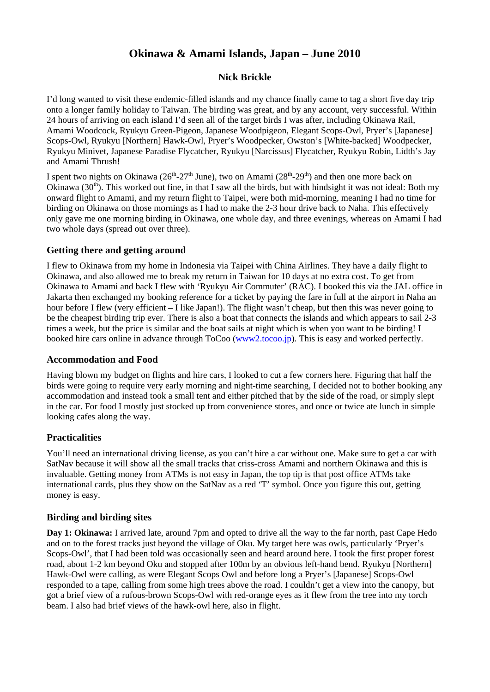# **Okinawa & Amami Islands, Japan – June 2010**

# **Nick Brickle**

I'd long wanted to visit these endemic-filled islands and my chance finally came to tag a short five day trip onto a longer family holiday to Taiwan. The birding was great, and by any account, very successful. Within 24 hours of arriving on each island I'd seen all of the target birds I was after, including Okinawa Rail, Amami Woodcock, Ryukyu Green-Pigeon, Japanese Woodpigeon, Elegant Scops-Owl, Pryer's [Japanese] Scops-Owl, Ryukyu [Northern] Hawk-Owl, Pryer's Woodpecker, Owston's [White-backed] Woodpecker, Ryukyu Minivet, Japanese Paradise Flycatcher, Ryukyu [Narcissus] Flycatcher, Ryukyu Robin, Lidth's Jay and Amami Thrush!

I spent two nights on Okinawa ( $26<sup>th</sup>-27<sup>th</sup>$  June), two on Amami ( $28<sup>th</sup>-29<sup>th</sup>$ ) and then one more back on Okinawa  $(30<sup>th</sup>)$ . This worked out fine, in that I saw all the birds, but with hindsight it was not ideal: Both my onward flight to Amami, and my return flight to Taipei, were both mid-morning, meaning I had no time for birding on Okinawa on those mornings as I had to make the 2-3 hour drive back to Naha. This effectively only gave me one morning birding in Okinawa, one whole day, and three evenings, whereas on Amami I had two whole days (spread out over three).

# **Getting there and getting around**

I flew to Okinawa from my home in Indonesia via Taipei with China Airlines. They have a daily flight to Okinawa, and also allowed me to break my return in Taiwan for 10 days at no extra cost. To get from Okinawa to Amami and back I flew with 'Ryukyu Air Commuter' (RAC). I booked this via the JAL office in Jakarta then exchanged my booking reference for a ticket by paying the fare in full at the airport in Naha an hour before I flew (very efficient – I like Japan!). The flight wasn't cheap, but then this was never going to be the cheapest birding trip ever. There is also a boat that connects the islands and which appears to sail 2-3 times a week, but the price is similar and the boat sails at night which is when you want to be birding! I booked hire cars online in advance through ToCoo (www2.tocoo.jp). This is easy and worked perfectly.

# **Accommodation and Food**

Having blown my budget on flights and hire cars, I looked to cut a few corners here. Figuring that half the birds were going to require very early morning and night-time searching, I decided not to bother booking any accommodation and instead took a small tent and either pitched that by the side of the road, or simply slept in the car. For food I mostly just stocked up from convenience stores, and once or twice ate lunch in simple looking cafes along the way.

# **Practicalities**

You'll need an international driving license, as you can't hire a car without one. Make sure to get a car with SatNav because it will show all the small tracks that criss-cross Amami and northern Okinawa and this is invaluable. Getting money from ATMs is not easy in Japan, the top tip is that post office ATMs take international cards, plus they show on the SatNav as a red 'T' symbol. Once you figure this out, getting money is easy.

# **Birding and birding sites**

**Day 1: Okinawa:** I arrived late, around 7pm and opted to drive all the way to the far north, past Cape Hedo and on to the forest tracks just beyond the village of Oku. My target here was owls, particularly 'Pryer's Scops-Owl', that I had been told was occasionally seen and heard around here. I took the first proper forest road, about 1-2 km beyond Oku and stopped after 100m by an obvious left-hand bend. Ryukyu [Northern] Hawk-Owl were calling, as were Elegant Scops Owl and before long a Pryer's [Japanese] Scops-Owl responded to a tape, calling from some high trees above the road. I couldn't get a view into the canopy, but got a brief view of a rufous-brown Scops-Owl with red-orange eyes as it flew from the tree into my torch beam. I also had brief views of the hawk-owl here, also in flight.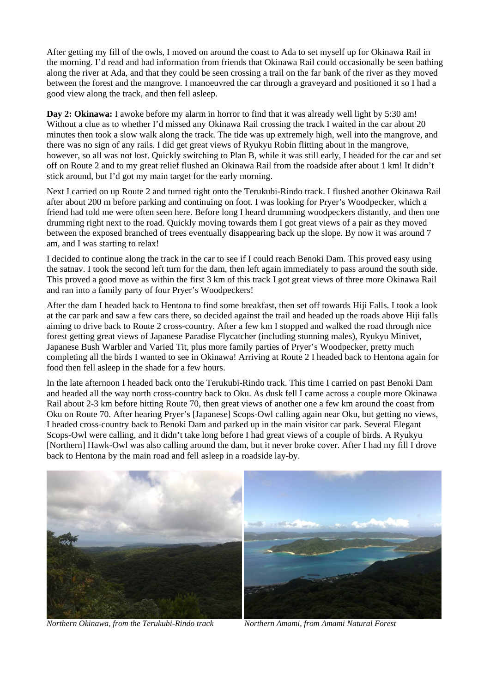After getting my fill of the owls, I moved on around the coast to Ada to set myself up for Okinawa Rail in the morning. I'd read and had information from friends that Okinawa Rail could occasionally be seen bathing along the river at Ada, and that they could be seen crossing a trail on the far bank of the river as they moved between the forest and the mangrove. I manoeuvred the car through a graveyard and positioned it so I had a good view along the track, and then fell asleep.

**Day 2: Okinawa:** I awoke before my alarm in horror to find that it was already well light by 5:30 am! Without a clue as to whether I'd missed any Okinawa Rail crossing the track I waited in the car about 20 minutes then took a slow walk along the track. The tide was up extremely high, well into the mangrove, and there was no sign of any rails. I did get great views of Ryukyu Robin flitting about in the mangrove, however, so all was not lost. Quickly switching to Plan B, while it was still early, I headed for the car and set off on Route 2 and to my great relief flushed an Okinawa Rail from the roadside after about 1 km! It didn't stick around, but I'd got my main target for the early morning.

Next I carried on up Route 2 and turned right onto the Terukubi-Rindo track. I flushed another Okinawa Rail after about 200 m before parking and continuing on foot. I was looking for Pryer's Woodpecker, which a friend had told me were often seen here. Before long I heard drumming woodpeckers distantly, and then one drumming right next to the road. Quickly moving towards them I got great views of a pair as they moved between the exposed branched of trees eventually disappearing back up the slope. By now it was around 7 am, and I was starting to relax!

I decided to continue along the track in the car to see if I could reach Benoki Dam. This proved easy using the satnav. I took the second left turn for the dam, then left again immediately to pass around the south side. This proved a good move as within the first 3 km of this track I got great views of three more Okinawa Rail and ran into a family party of four Pryer's Woodpeckers!

After the dam I headed back to Hentona to find some breakfast, then set off towards Hiji Falls. I took a look at the car park and saw a few cars there, so decided against the trail and headed up the roads above Hiji falls aiming to drive back to Route 2 cross-country. After a few km I stopped and walked the road through nice forest getting great views of Japanese Paradise Flycatcher (including stunning males), Ryukyu Minivet, Japanese Bush Warbler and Varied Tit, plus more family parties of Pryer's Woodpecker, pretty much completing all the birds I wanted to see in Okinawa! Arriving at Route 2 I headed back to Hentona again for food then fell asleep in the shade for a few hours.

In the late afternoon I headed back onto the Terukubi-Rindo track. This time I carried on past Benoki Dam and headed all the way north cross-country back to Oku. As dusk fell I came across a couple more Okinawa Rail about 2-3 km before hitting Route 70, then great views of another one a few km around the coast from Oku on Route 70. After hearing Pryer's [Japanese] Scops-Owl calling again near Oku, but getting no views, I headed cross-country back to Benoki Dam and parked up in the main visitor car park. Several Elegant Scops-Owl were calling, and it didn't take long before I had great views of a couple of birds. A Ryukyu [Northern] Hawk-Owl was also calling around the dam, but it never broke cover. After I had my fill I drove back to Hentona by the main road and fell asleep in a roadside lay-by.



*Northern Okinawa, from the Terukubi-Rindo track Northern Amami, from Amami Natural Forest*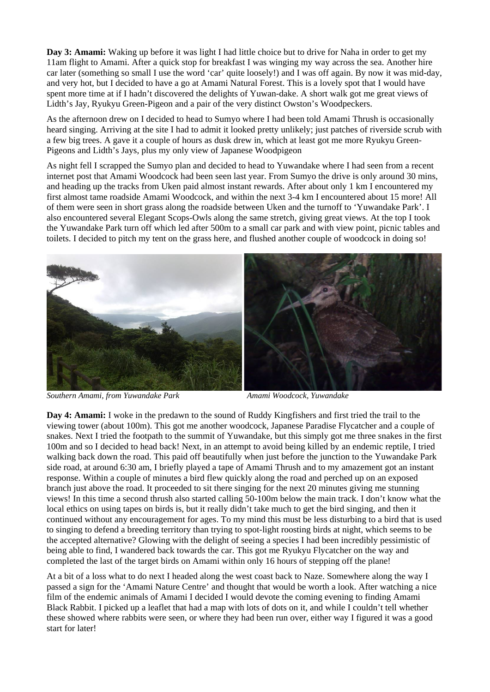**Day 3: Amami:** Waking up before it was light I had little choice but to drive for Naha in order to get my 11am flight to Amami. After a quick stop for breakfast I was winging my way across the sea. Another hire car later (something so small I use the word 'car' quite loosely!) and I was off again. By now it was mid-day, and very hot, but I decided to have a go at Amami Natural Forest. This is a lovely spot that I would have spent more time at if I hadn't discovered the delights of Yuwan-dake. A short walk got me great views of Lidth's Jay, Ryukyu Green-Pigeon and a pair of the very distinct Owston's Woodpeckers.

As the afternoon drew on I decided to head to Sumyo where I had been told Amami Thrush is occasionally heard singing. Arriving at the site I had to admit it looked pretty unlikely; just patches of riverside scrub with a few big trees. A gave it a couple of hours as dusk drew in, which at least got me more Ryukyu Green-Pigeons and Lidth's Jays, plus my only view of Japanese Woodpigeon

As night fell I scrapped the Sumyo plan and decided to head to Yuwandake where I had seen from a recent internet post that Amami Woodcock had been seen last year. From Sumyo the drive is only around 30 mins, and heading up the tracks from Uken paid almost instant rewards. After about only 1 km I encountered my first almost tame roadside Amami Woodcock, and within the next 3-4 km I encountered about 15 more! All of them were seen in short grass along the roadside between Uken and the turnoff to 'Yuwandake Park'. I also encountered several Elegant Scops-Owls along the same stretch, giving great views. At the top I took the Yuwandake Park turn off which led after 500m to a small car park and with view point, picnic tables and toilets. I decided to pitch my tent on the grass here, and flushed another couple of woodcock in doing so!





*Southern Amami, from Yuwandake Park Amami Woodcock, Yuwandake* 

**Day 4: Amami:** I woke in the predawn to the sound of Ruddy Kingfishers and first tried the trail to the viewing tower (about 100m). This got me another woodcock, Japanese Paradise Flycatcher and a couple of snakes. Next I tried the footpath to the summit of Yuwandake, but this simply got me three snakes in the first 100m and so I decided to head back! Next, in an attempt to avoid being killed by an endemic reptile, I tried walking back down the road. This paid off beautifully when just before the junction to the Yuwandake Park side road, at around 6:30 am, I briefly played a tape of Amami Thrush and to my amazement got an instant response. Within a couple of minutes a bird flew quickly along the road and perched up on an exposed branch just above the road. It proceeded to sit there singing for the next 20 minutes giving me stunning views! In this time a second thrush also started calling 50-100m below the main track. I don't know what the local ethics on using tapes on birds is, but it really didn't take much to get the bird singing, and then it continued without any encouragement for ages. To my mind this must be less disturbing to a bird that is used to singing to defend a breeding territory than trying to spot-light roosting birds at night, which seems to be the accepted alternative? Glowing with the delight of seeing a species I had been incredibly pessimistic of being able to find, I wandered back towards the car. This got me Ryukyu Flycatcher on the way and completed the last of the target birds on Amami within only 16 hours of stepping off the plane!

At a bit of a loss what to do next I headed along the west coast back to Naze. Somewhere along the way I passed a sign for the 'Amami Nature Centre' and thought that would be worth a look. After watching a nice film of the endemic animals of Amami I decided I would devote the coming evening to finding Amami Black Rabbit. I picked up a leaflet that had a map with lots of dots on it, and while I couldn't tell whether these showed where rabbits were seen, or where they had been run over, either way I figured it was a good start for later!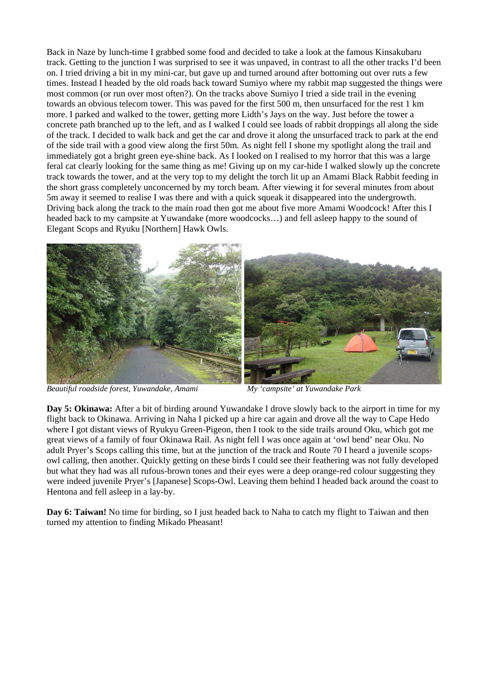Back in Naze by lunch-time I grabbed some food and decided to take a look at the famous Kinsakubaru track. Getting to the junction I was surprised to see it was unpaved, in contrast to all the other tracks I'd been on. I tried driving a bit in my mini-car, but gave up and turned around after bottoming out over ruts a few times. Instead I headed by the old roads back toward Sumiyo where my rabbit map suggested the things were most common (or run over most often?). On the tracks above Sumiyo I tried a side trail in the evening towards an obvious telecom tower. This was paved for the first 500 m, then unsurfaced for the rest 1 km more. I parked and walked to the tower, getting more Lidth's Jays on the way. Just before the tower a concrete path branched up to the left, and as I walked I could see loads of rabbit droppings all along the side of the track. I decided to walk back and get the car and drove it along the unsurfaced track to park at the end of the side trail with a good view along the first 50m. As night fell I shone my spotlight along the trail and immediately got a bright green eye-shine back. As I looked on I realised to my horror that this was a large feral cat clearly looking for the same thing as me! Giving up on my car-hide I walked slowly up the concrete track towards the tower, and at the very top to my delight the torch lit up an Amami Black Rabbit feeding in the short grass completely unconcerned by my torch beam. After viewing it for several minutes from about 5m away it seemed to realise I was there and with a quick squeak it disappeared into the undergrowth. Driving back along the track to the main road then got me about five more Amami Woodcock! After this I headed back to my campsite at Yuwandake (more woodcocks…) and fell asleep happy to the sound of Elegant Scops and Ryuku [Northern] Hawk Owls.



*Beautiful roadside forest, Yuwandake, Amami My 'campsite' at Yuwandake Park* 

**Day 5: Okinawa:** After a bit of birding around Yuwandake I drove slowly back to the airport in time for my flight back to Okinawa. Arriving in Naha I picked up a hire car again and drove all the way to Cape Hedo where I got distant views of Ryukyu Green-Pigeon, then I took to the side trails around Oku, which got me great views of a family of four Okinawa Rail. As night fell I was once again at 'owl bend' near Oku. No adult Pryer's Scops calling this time, but at the junction of the track and Route 70 I heard a juvenile scopsowl calling, then another. Quickly getting on these birds I could see their feathering was not fully developed but what they had was all rufous-brown tones and their eyes were a deep orange-red colour suggesting they were indeed juvenile Pryer's [Japanese] Scops-Owl. Leaving them behind I headed back around the coast to Hentona and fell asleep in a lay-by.

**Day 6: Taiwan!** No time for birding, so I just headed back to Naha to catch my flight to Taiwan and then turned my attention to finding Mikado Pheasant!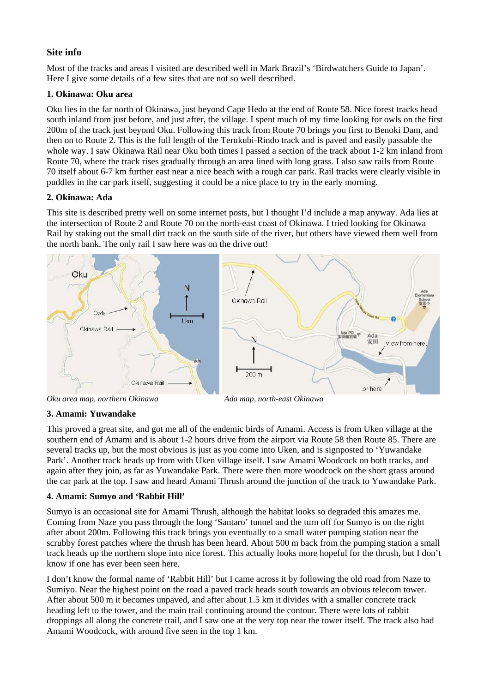# **Site info**

Most of the tracks and areas I visited are described well in Mark Brazil's 'Birdwatchers Guide to Japan'. Here I give some details of a few sites that are not so well described.

# **1. Okinawa: Oku area**

Oku lies in the far north of Okinawa, just beyond Cape Hedo at the end of Route 58. Nice forest tracks head south inland from just before, and just after, the village. I spent much of my time looking for owls on the first 200m of the track just beyond Oku. Following this track from Route 70 brings you first to Benoki Dam, and then on to Route 2. This is the full length of the Terukubi-Rindo track and is paved and easily passable the whole way. I saw Okinawa Rail near Oku both times I passed a section of the track about 1-2 km inland from Route 70, where the track rises gradually through an area lined with long grass. I also saw rails from Route 70 itself about 6-7 km further east near a nice beach with a rough car park. Rail tracks were clearly visible in puddles in the car park itself, suggesting it could be a nice place to try in the early morning.

# **2. Okinawa: Ada**

This site is described pretty well on some internet posts, but I thought I'd include a map anyway. Ada lies at the intersection of Route 2 and Route 70 on the north-east coast of Okinawa. I tried looking for Okinawa Rail by staking out the small dirt track on the south side of the river, but others have viewed them well from the north bank. The only rail I saw here was on the drive out!



# **3. Amami: Yuwandake**

This proved a great site, and got me all of the endemic birds of Amami. Access is from Uken village at the southern end of Amami and is about 1-2 hours drive from the airport via Route 58 then Route 85. There are several tracks up, but the most obvious is just as you come into Uken, and is signposted to 'Yuwandake Park'. Another track heads up from with Uken village itself. I saw Amami Woodcock on both tracks, and again after they join, as far as Yuwandake Park. There were then more woodcock on the short grass around the car park at the top. I saw and heard Amami Thrush around the junction of the track to Yuwandake Park.

# **4. Amami: Sumyo and 'Rabbit Hill'**

Sumyo is an occasional site for Amami Thrush, although the habitat looks so degraded this amazes me. Coming from Naze you pass through the long 'Santaro' tunnel and the turn off for Sumyo is on the right after about 200m. Following this track brings you eventually to a small water pumping station near the scrubby forest patches where the thrush has been heard. About 500 m back from the pumping station a small track heads up the northern slope into nice forest. This actually looks more hopeful for the thrush, but I don't know if one has ever been seen here.

I don't know the formal name of 'Rabbit Hill' but I came across it by following the old road from Naze to Sumiyo. Near the highest point on the road a paved track heads south towards an obvious telecom tower. After about 500 m it becomes unpaved, and after about 1.5 km it divides with a smaller concrete track heading left to the tower, and the main trail continuing around the contour. There were lots of rabbit droppings all along the concrete trail, and I saw one at the very top near the tower itself. The track also had Amami Woodcock, with around five seen in the top 1 km.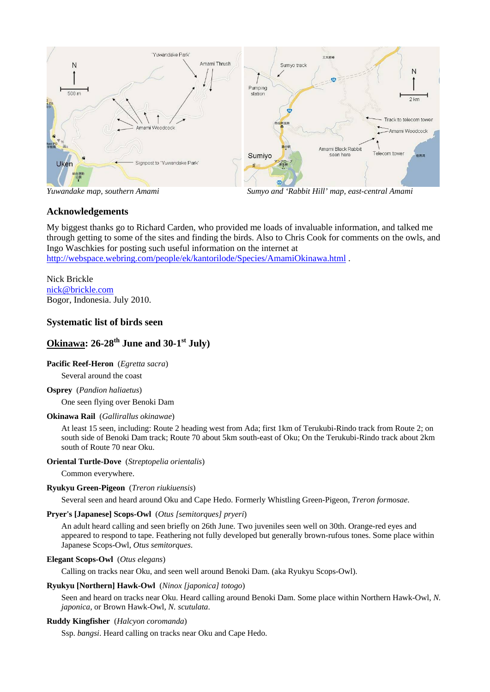

*Yuwandake map, southern Amami Sumyo and 'Rabbit Hill' map, east-central Amami* 

# **Acknowledgements**

My biggest thanks go to Richard Carden, who provided me loads of invaluable information, and talked me through getting to some of the sites and finding the birds. Also to Chris Cook for comments on the owls, and Ingo Waschkies for posting such useful information on the internet at http://webspace.webring.com/people/ek/kantorilode/Species/AmamiOkinawa.html .

Nick Brickle nick@brickle.com Bogor, Indonesia. July 2010.

# **Systematic list of birds seen**

# **Okinawa: 26-28<sup>th</sup> June and 30-1<sup>st</sup> July**)

# **Pacific Reef-Heron** (*Egretta sacra*)

Several around the coast

# **Osprey** (*Pandion haliaetus*)

One seen flying over Benoki Dam

# **Okinawa Rail** (*Gallirallus okinawae*)

At least 15 seen, including: Route 2 heading west from Ada; first 1km of Terukubi-Rindo track from Route 2; on south side of Benoki Dam track; Route 70 about 5km south-east of Oku; On the Terukubi-Rindo track about 2km south of Route 70 near Oku.

# **Oriental Turtle-Dove** (*Streptopelia orientalis*)

Common everywhere.

# **Ryukyu Green-Pigeon** (*Treron riukiuensis*)

Several seen and heard around Oku and Cape Hedo. Formerly Whistling Green-Pigeon, *Treron formosae*.

# **Pryer's [Japanese] Scops-Owl** (*Otus [semitorques] pryeri*)

An adult heard calling and seen briefly on 26th June. Two juveniles seen well on 30th. Orange-red eyes and appeared to respond to tape. Feathering not fully developed but generally brown-rufous tones. Some place within Japanese Scops-Owl, *Otus semitorques*.

# **Elegant Scops-Owl** (*Otus elegans*)

Calling on tracks near Oku, and seen well around Benoki Dam. (aka Ryukyu Scops-Owl).

### **Ryukyu [Northern] Hawk-Owl** (*Ninox [japonica] totogo*)

Seen and heard on tracks near Oku. Heard calling around Benoki Dam. Some place within Northern Hawk-Owl, *N. japonica*, or Brown Hawk-Owl, *N. scutulata*.

# **Ruddy Kingfisher** (*Halcyon coromanda*)

Ssp. *bangsi*. Heard calling on tracks near Oku and Cape Hedo.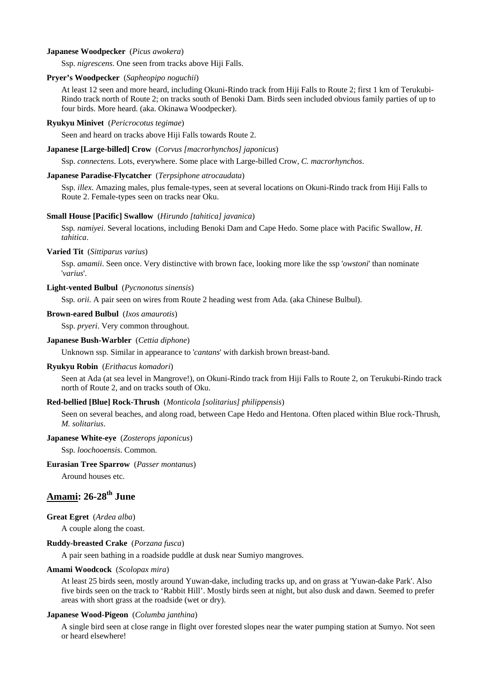#### **Japanese Woodpecker** (*Picus awokera*)

Ssp. *nigrescens*. One seen from tracks above Hiji Falls.

#### **Pryer's Woodpecker** (*Sapheopipo noguchii*)

At least 12 seen and more heard, including Okuni-Rindo track from Hiji Falls to Route 2; first 1 km of Terukubi-Rindo track north of Route 2; on tracks south of Benoki Dam. Birds seen included obvious family parties of up to four birds. More heard. (aka. Okinawa Woodpecker).

#### **Ryukyu Minivet** (*Pericrocotus tegimae*)

Seen and heard on tracks above Hiji Falls towards Route 2.

#### **Japanese [Large-billed] Crow** (*Corvus [macrorhynchos] japonicus*)

Ssp. *connectens*. Lots, everywhere. Some place with Large-billed Crow, *C. macrorhynchos*.

#### **Japanese Paradise-Flycatcher** (*Terpsiphone atrocaudata*)

Ssp. *illex*. Amazing males, plus female-types, seen at several locations on Okuni-Rindo track from Hiji Falls to Route 2. Female-types seen on tracks near Oku.

#### **Small House [Pacific] Swallow** (*Hirundo [tahitica] javanica*)

Ssp*. namiyei*. Several locations, including Benoki Dam and Cape Hedo. Some place with Pacific Swallow, *H. tahitica*.

#### **Varied Tit** (*Sittiparus varius*)

Ssp. *amamii*. Seen once. Very distinctive with brown face, looking more like the ssp '*owstoni*' than nominate '*varius*'.

#### **Light-vented Bulbul** (*Pycnonotus sinensis*)

Ssp*. orii*. A pair seen on wires from Route 2 heading west from Ada. (aka Chinese Bulbul).

#### **Brown-eared Bulbul** (*Ixos amaurotis*)

Ssp. *pryeri*. Very common throughout.

#### **Japanese Bush-Warbler** (*Cettia diphone*)

Unknown ssp. Similar in appearance to '*cantans*' with darkish brown breast-band.

#### **Ryukyu Robin** (*Erithacus komadori*)

Seen at Ada (at sea level in Mangrove!), on Okuni-Rindo track from Hiji Falls to Route 2, on Terukubi-Rindo track north of Route 2, and on tracks south of Oku.

#### **Red-bellied [Blue] Rock-Thrush** (*Monticola [solitarius] philippensis*)

Seen on several beaches, and along road, between Cape Hedo and Hentona. Often placed within Blue rock-Thrush, *M. solitarius*.

#### **Japanese White-eye** (*Zosterops japonicus*)

Ssp. *loochooensis*. Common.

### **Eurasian Tree Sparrow** (*Passer montanus*)

Around houses etc.

# **Amami: 26-28th June**

#### **Great Egret** (*Ardea alba*)

A couple along the coast.

#### **Ruddy-breasted Crake** (*Porzana fusca*)

A pair seen bathing in a roadside puddle at dusk near Sumiyo mangroves.

#### **Amami Woodcock** (*Scolopax mira*)

At least 25 birds seen, mostly around Yuwan-dake, including tracks up, and on grass at 'Yuwan-dake Park'. Also five birds seen on the track to 'Rabbit Hill'. Mostly birds seen at night, but also dusk and dawn. Seemed to prefer areas with short grass at the roadside (wet or dry).

#### **Japanese Wood-Pigeon** (*Columba janthina*)

A single bird seen at close range in flight over forested slopes near the water pumping station at Sumyo. Not seen or heard elsewhere!